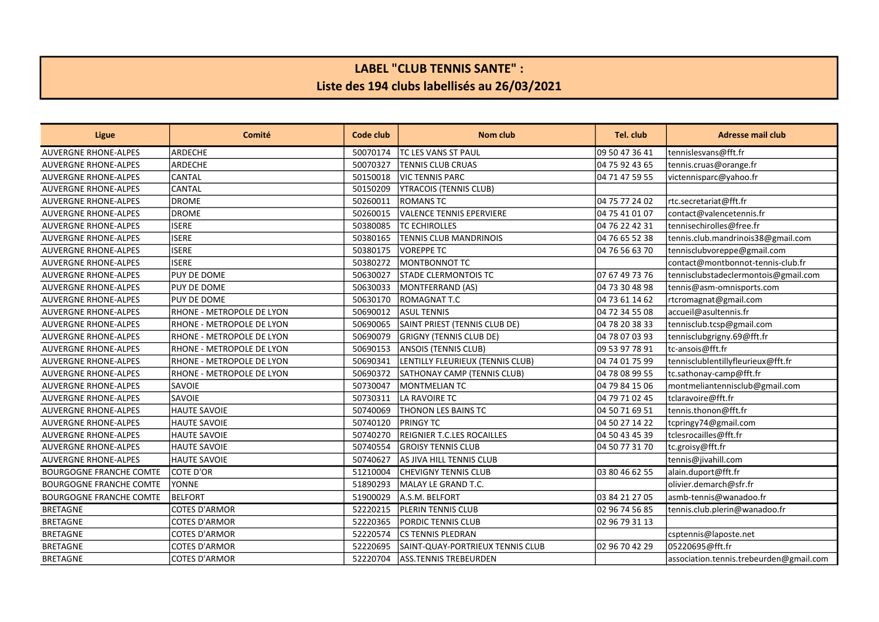## LABEL "CLUB TENNIS SANTE" : Liste des 194 clubs labellisés au 26/03/2021

| Ligue                          | Comité                           | Code club | <b>Nom club</b>                  | Tel. club      | <b>Adresse mail club</b>                |
|--------------------------------|----------------------------------|-----------|----------------------------------|----------------|-----------------------------------------|
| <b>AUVERGNE RHONE-ALPES</b>    | lardeche                         | 50070174  | ltc les vans st paul             | 09 50 47 36 41 | tennislesvans@fft.fr                    |
| <b>AUVERGNE RHONE-ALPES</b>    | lardeche                         | 50070327  | <b>TENNIS CLUB CRUAS</b>         | 04 75 92 43 65 | tennis.cruas@orange.fr                  |
| <b>AUVERGNE RHONE-ALPES</b>    | lcantal                          | 50150018  | IVIC TENNIS PARC                 | 04 71 47 59 55 | victennisparc@yahoo.fr                  |
| <b>AUVERGNE RHONE-ALPES</b>    | lcantal                          | 50150209  | YTRACOIS (TENNIS CLUB)           |                |                                         |
| <b>AUVERGNE RHONE-ALPES</b>    | <b>DROME</b>                     | 50260011  | IROMANS TC                       | 04 75 77 24 02 | rtc.secretariat@fft.fr                  |
| <b>AUVERGNE RHONE-ALPES</b>    | <b>DROME</b>                     | 50260015  | <b>VALENCE TENNIS EPERVIERE</b>  | 04 75 41 01 07 | contact@valencetennis.fr                |
| <b>AUVERGNE RHONE-ALPES</b>    | <b>ISERE</b>                     | 50380085  | <b>TC ECHIROLLES</b>             | 04 76 22 42 31 | tennisechirolles@free.fr                |
| <b>AUVERGNE RHONE-ALPES</b>    | <b>ISERE</b>                     | 50380165  | <b>TENNIS CLUB MANDRINOIS</b>    | 04 76 65 52 38 | tennis.club.mandrinois38@gmail.com      |
| <b>AUVERGNE RHONE-ALPES</b>    | <b>ISERE</b>                     | 50380175  | VOREPPE TC                       | 04 76 56 63 70 | tennisclubvoreppe@gmail.com             |
| <b>AUVERGNE RHONE-ALPES</b>    | <b>ISERE</b>                     | 50380272  | MONTBONNOT TC                    |                | contact@montbonnot-tennis-club.fr       |
| <b>AUVERGNE RHONE-ALPES</b>    | <b>PUY DE DOME</b>               | 50630027  | <b>STADE CLERMONTOIS TC</b>      | 07 67 49 73 76 | tennisclubstadeclermontois@gmail.com    |
| <b>AUVERGNE RHONE-ALPES</b>    | <b>PUY DE DOME</b>               | 50630033  | MONTFERRAND (AS)                 | 04 73 30 48 98 | tennis@asm-omnisports.com               |
| <b>AUVERGNE RHONE-ALPES</b>    | <b>PUY DE DOME</b>               | 50630170  | ROMAGNAT T.C                     | 04 73 61 14 62 | rtcromagnat@gmail.com                   |
| <b>AUVERGNE RHONE-ALPES</b>    | RHONE - METROPOLE DE LYON        | 50690012  | ASUL TENNIS                      | 04 72 34 55 08 | accueil@asultennis.fr                   |
| <b>AUVERGNE RHONE-ALPES</b>    | RHONE - METROPOLE DE LYON        | 50690065  | SAINT PRIEST (TENNIS CLUB DE)    | 04 78 20 38 33 | tennisclub.tcsp@gmail.com               |
| <b>AUVERGNE RHONE-ALPES</b>    | RHONE - METROPOLE DE LYON        | 50690079  | <b>GRIGNY (TENNIS CLUB DE)</b>   | 04 78 07 03 93 | tennisclubgrigny.69@fft.fr              |
| <b>AUVERGNE RHONE-ALPES</b>    | <b>RHONE - METROPOLE DE LYON</b> | 50690153  | ANSOIS (TENNIS CLUB)             | 09 53 97 78 91 | ltc-ansois@fft.fr                       |
| <b>AUVERGNE RHONE-ALPES</b>    | RHONE - METROPOLE DE LYON        | 50690341  | LENTILLY FLEURIEUX (TENNIS CLUB) | 04 74 01 75 99 | tennisclublentillyfleurieux@fft.fr      |
| <b>AUVERGNE RHONE-ALPES</b>    | RHONE - METROPOLE DE LYON        | 50690372  | SATHONAY CAMP (TENNIS CLUB)      | 04 78 08 99 55 | tc.sathonay-camp@fft.fr                 |
| <b>AUVERGNE RHONE-ALPES</b>    | İSAVOIE                          | 50730047  | MONTMELIAN TC                    | 04 79 84 15 06 | montmeliantennisclub@gmail.com          |
| <b>AUVERGNE RHONE-ALPES</b>    | İSAVOIE                          | 50730311  | LA RAVOIRE TC                    | 04 79 71 02 45 | tclaravoire@fft.fr                      |
| <b>AUVERGNE RHONE-ALPES</b>    | HAUTE SAVOIE                     | 50740069  | <b>THONON LES BAINS TC</b>       | 04 50 71 69 51 | tennis.thonon@fft.fr                    |
| <b>AUVERGNE RHONE-ALPES</b>    | <b>HAUTE SAVOIE</b>              | 50740120  | <b>PRINGY TC</b>                 | 04 50 27 14 22 | tcpringy74@gmail.com                    |
| <b>AUVERGNE RHONE-ALPES</b>    | <b>HAUTE SAVOIE</b>              | 50740270  | REIGNIER T.C.LES ROCAILLES       | 04 50 43 45 39 | tclesrocailles@fft.fr                   |
| <b>AUVERGNE RHONE-ALPES</b>    | <b>HAUTE SAVOIE</b>              | 50740554  | <b>GROISY TENNIS CLUB</b>        | 04 50 77 31 70 | tc.groisy@fft.fr                        |
| <b>AUVERGNE RHONE-ALPES</b>    | <b>HAUTE SAVOIE</b>              | 50740627  | AS JIVA HILL TENNIS CLUB         |                | tennis@jivahill.com                     |
| <b>BOURGOGNE FRANCHE COMTE</b> | COTE D'OR                        | 51210004  | <b>CHEVIGNY TENNIS CLUB</b>      | 03 80 46 62 55 | alain.duport@fft.fr                     |
| <b>BOURGOGNE FRANCHE COMTE</b> | <b>YONNE</b>                     | 51890293  | MALAY LE GRAND T.C.              |                | olivier.demarch@sfr.fr                  |
| <b>BOURGOGNE FRANCHE COMTE</b> | BELFORT                          | 51900029  | A.S.M. BELFORT                   | 03 84 21 27 05 | asmb-tennis@wanadoo.fr                  |
| <b>BRETAGNE</b>                | <b>COTES D'ARMOR</b>             | 52220215  | <b>PLERIN TENNIS CLUB</b>        | 02 96 74 56 85 | tennis.club.plerin@wanadoo.fr           |
| <b>BRETAGNE</b>                | COTES D'ARMOR                    | 52220365  | PORDIC TENNIS CLUB               | 02 96 79 31 13 |                                         |
| <b>BRETAGNE</b>                | COTES D'ARMOR                    | 52220574  | <b>ICS TENNIS PLEDRAN</b>        |                | csptennis@laposte.net                   |
| <b>BRETAGNE</b>                | COTES D'ARMOR                    | 52220695  | SAINT-QUAY-PORTRIEUX TENNIS CLUB | 02 96 70 42 29 | 05220695@fft.fr                         |
| <b>BRETAGNE</b>                | COTES D'ARMOR                    | 52220704  | ASS.TENNIS TREBEURDEN            |                | association.tennis.trebeurden@gmail.com |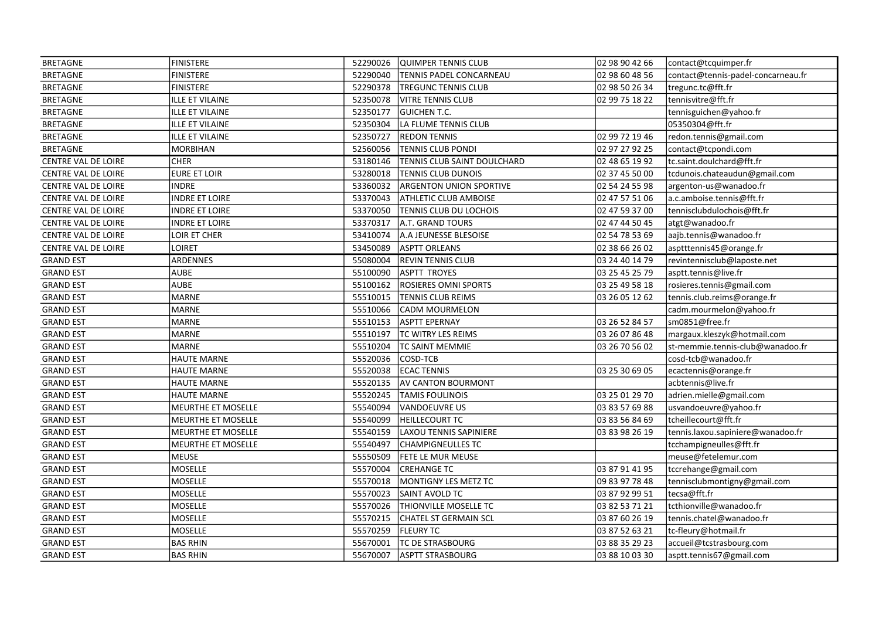| <b>BRETAGNE</b>     | <b>FINISTERE</b>       | 52290026 | QUIMPER TENNIS CLUB            | 02 98 90 42 66 | contact@tcquimper.fr               |
|---------------------|------------------------|----------|--------------------------------|----------------|------------------------------------|
| <b>BRETAGNE</b>     | <b>FINISTERE</b>       | 52290040 | TENNIS PADEL CONCARNEAU        | 02 98 60 48 56 | contact@tennis-padel-concarneau.fr |
| <b>BRETAGNE</b>     | <b>FINISTERE</b>       | 52290378 | <b>TREGUNC TENNIS CLUB</b>     | 02 98 50 26 34 | tregunc.tc@fft.fr                  |
| <b>BRETAGNE</b>     | <b>ILLE ET VILAINE</b> | 52350078 | <b>VITRE TENNIS CLUB</b>       | 02 99 75 18 22 | tennisvitre@fft.fr                 |
| <b>BRETAGNE</b>     | ILLE ET VILAINE        | 52350177 | <b>GUICHEN T.C.</b>            |                | tennisguichen@yahoo.fr             |
| <b>BRETAGNE</b>     | <b>ILLE ET VILAINE</b> | 52350304 | LA FLUME TENNIS CLUB           |                | 05350304@fft.fr                    |
| <b>BRETAGNE</b>     | <b>ILLE ET VILAINE</b> | 52350727 | <b>REDON TENNIS</b>            | 02 99 72 19 46 | redon.tennis@gmail.com             |
| <b>BRETAGNE</b>     | <b>MORBIHAN</b>        | 52560056 | <b>TENNIS CLUB PONDI</b>       | 02 97 27 92 25 | contact@tcpondi.com                |
| CENTRE VAL DE LOIRE | <b>CHER</b>            | 53180146 | TENNIS CLUB SAINT DOULCHARD    | 02 48 65 19 92 | tc.saint.doulchard@fft.fr          |
| CENTRE VAL DE LOIRE | <b>EURE ET LOIR</b>    | 53280018 | <b>TENNIS CLUB DUNOIS</b>      | 02 37 45 50 00 | tcdunois.chateaudun@gmail.com      |
| CENTRE VAL DE LOIRE | <b>INDRE</b>           | 53360032 | <b>ARGENTON UNION SPORTIVE</b> | 02 54 24 55 98 | argenton-us@wanadoo.fr             |
| CENTRE VAL DE LOIRE | <b>INDRE ET LOIRE</b>  | 53370043 | <b>ATHLETIC CLUB AMBOISE</b>   | 02 47 57 51 06 | a.c.amboise.tennis@fft.fr          |
| CENTRE VAL DE LOIRE | <b>INDRE ET LOIRE</b>  | 53370050 | TENNIS CLUB DU LOCHOIS         | 02 47 59 37 00 | tennisclubdulochois@fft.fr         |
| CENTRE VAL DE LOIRE | <b>INDRE ET LOIRE</b>  | 53370317 | A.T. GRAND TOURS               | 02 47 44 50 45 | atgt@wanadoo.fr                    |
| CENTRE VAL DE LOIRE | LOIR ET CHER           | 53410074 | A.A JEUNESSE BLESOISE          | 02 54 78 53 69 | aajb.tennis@wanadoo.fr             |
| CENTRE VAL DE LOIRE | LOIRET                 | 53450089 | <b>ASPTT ORLEANS</b>           | 02 38 66 26 02 | asptttennis45@orange.fr            |
| <b>GRAND EST</b>    | ARDENNES               | 55080004 | <b>REVIN TENNIS CLUB</b>       | 03 24 40 14 79 | revintennisclub@laposte.net        |
| <b>GRAND EST</b>    | <b>AUBE</b>            | 55100090 | ASPTT TROYES                   | 03 25 45 25 79 | asptt.tennis@live.fr               |
| <b>GRAND EST</b>    | <b>AUBE</b>            | 55100162 | <b>ROSIERES OMNI SPORTS</b>    | 03 25 49 58 18 | rosieres.tennis@gmail.com          |
| <b>GRAND EST</b>    | <b>MARNE</b>           | 55510015 | <b>TENNIS CLUB REIMS</b>       | 03 26 05 12 62 | tennis.club.reims@orange.fr        |
| <b>GRAND EST</b>    | <b>MARNE</b>           | 55510066 | CADM MOURMELON                 |                | cadm.mourmelon@yahoo.fr            |
| <b>GRAND EST</b>    | <b>MARNE</b>           | 55510153 | ASPTT EPERNAY                  | 03 26 52 84 57 | sm0851@free.fr                     |
| <b>GRAND EST</b>    | <b>MARNE</b>           | 55510197 | TC WITRY LES REIMS             | 03 26 07 86 48 | margaux.kleszyk@hotmail.com        |
| <b>GRAND EST</b>    | <b>MARNE</b>           | 55510204 | <b>TC SAINT MEMMIE</b>         | 03 26 70 56 02 | st-memmie.tennis-club@wanadoo.fr   |
| <b>GRAND EST</b>    | <b>HAUTE MARNE</b>     | 55520036 | COSD-TCB                       |                | cosd-tcb@wanadoo.fr                |
| <b>GRAND EST</b>    | <b>HAUTE MARNE</b>     | 55520038 | <b>ECAC TENNIS</b>             | 03 25 30 69 05 | ecactennis@orange.fr               |
| <b>GRAND EST</b>    | <b>HAUTE MARNE</b>     | 55520135 | AV CANTON BOURMONT             |                | acbtennis@live.fr                  |
| <b>GRAND EST</b>    | <b>HAUTE MARNE</b>     | 55520245 | <b>TAMIS FOULINOIS</b>         | 03 25 01 29 70 | adrien.mielle@gmail.com            |
| <b>GRAND EST</b>    | MEURTHE ET MOSELLE     | 55540094 | VANDOEUVRE US                  | 03 83 57 69 88 | usvandoeuvre@yahoo.fr              |
| <b>GRAND EST</b>    | MEURTHE ET MOSELLE     | 55540099 | <b>HEILLECOURT TC</b>          | 03 83 56 84 69 | tcheillecourt@fft.fr               |
| <b>GRAND EST</b>    | MEURTHE ET MOSELLE     | 55540159 | LAXOU TENNIS SAPINIERE         | 03 83 98 26 19 | tennis.laxou.sapiniere@wanadoo.fr  |
| <b>GRAND EST</b>    | MEURTHE ET MOSELLE     | 55540497 | <b>CHAMPIGNEULLES TC</b>       |                | tcchampigneulles@fft.fr            |
| <b>GRAND EST</b>    | <b>MEUSE</b>           | 55550509 | <b>FETE LE MUR MEUSE</b>       |                | meuse@fetelemur.com                |
| <b>GRAND EST</b>    | MOSELLE                | 55570004 | <b>CREHANGE TC</b>             | 03 87 91 41 95 | tccrehange@gmail.com               |
| <b>GRAND EST</b>    | MOSELLE                | 55570018 | MONTIGNY LES METZ TC           | 09 83 97 78 48 | tennisclubmontigny@gmail.com       |
| <b>GRAND EST</b>    | <b>MOSELLE</b>         | 55570023 | SAINT AVOLD TC                 | 03 87 92 99 51 | tecsa@fft.fr                       |
| <b>GRAND EST</b>    | <b>MOSELLE</b>         | 55570026 | <b>THIONVILLE MOSELLE TC</b>   | 03 82 53 71 21 | tcthionville@wanadoo.fr            |
| <b>GRAND EST</b>    | MOSELLE                | 55570215 | CHATEL ST GERMAIN SCL          | 03 87 60 26 19 | tennis.chatel@wanadoo.fr           |
| <b>GRAND EST</b>    | MOSELLE                | 55570259 | <b>FLEURY TC</b>               | 03 87 52 63 21 | tc-fleury@hotmail.fr               |
| <b>GRAND EST</b>    | <b>BAS RHIN</b>        | 55670001 | <b>TC DE STRASBOURG</b>        | 03 88 35 29 23 | accueil@tcstrasbourg.com           |
| <b>GRAND EST</b>    | <b>BAS RHIN</b>        | 55670007 | ASPTT STRASBOURG               | 03 88 10 03 30 | asptt.tennis67@gmail.com           |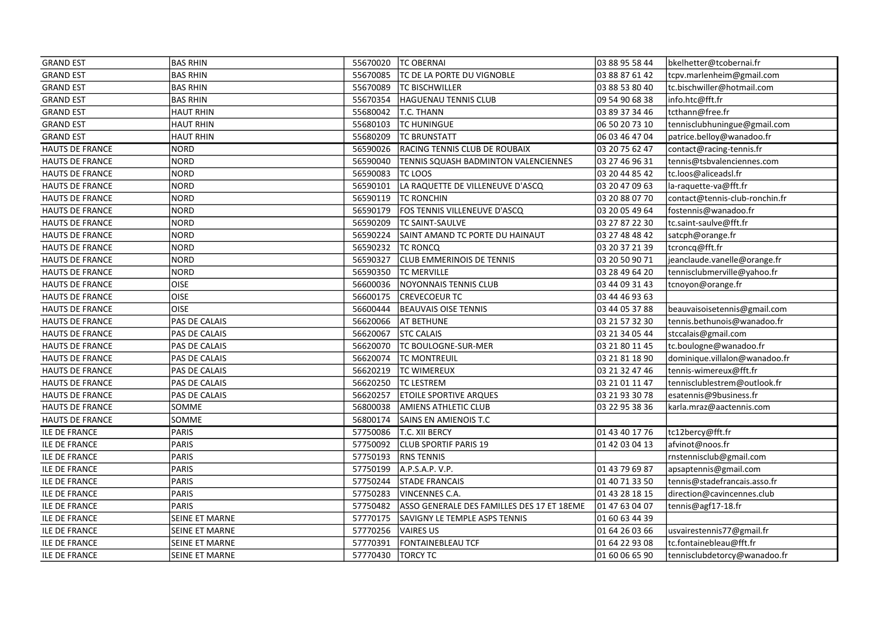| <b>GRAND EST</b>       | <b>BAS RHIN</b>       | 55670020 | <b>TC OBERNAI</b>                          | 03 88 95 58 44 | bkelhetter@tcobernai.fr        |
|------------------------|-----------------------|----------|--------------------------------------------|----------------|--------------------------------|
| <b>GRAND EST</b>       | <b>BAS RHIN</b>       | 55670085 | TC DE LA PORTE DU VIGNOBLE                 | 03 88 87 61 42 | tcpv.marlenheim@gmail.com      |
| <b>GRAND EST</b>       | <b>BAS RHIN</b>       | 55670089 | <b>TC BISCHWILLER</b>                      | 03 88 53 80 40 | tc.bischwiller@hotmail.com     |
| <b>GRAND EST</b>       | <b>BAS RHIN</b>       | 55670354 | <b>HAGUENAU TENNIS CLUB</b>                | 09 54 90 68 38 | info.htc@fft.fr                |
| <b>GRAND EST</b>       | <b>HAUT RHIN</b>      | 55680042 | T.C. THANN                                 | 03 89 37 34 46 | tcthann@free.fr                |
| <b>GRAND EST</b>       | <b>HAUT RHIN</b>      | 55680103 | <b>TC HUNINGUE</b>                         | 06 50 20 73 10 | tennisclubhuningue@gmail.com   |
| <b>GRAND EST</b>       | HAUT RHIN             | 55680209 | <b>TC BRUNSTATT</b>                        | 06 03 46 47 04 | patrice.belloy@wanadoo.fr      |
| <b>HAUTS DE FRANCE</b> | <b>NORD</b>           | 56590026 | RACING TENNIS CLUB DE ROUBAIX              | 03 20 75 62 47 | contact@racing-tennis.fr       |
| HAUTS DE FRANCE        | NORD                  | 56590040 | TENNIS SQUASH BADMINTON VALENCIENNES       | 03 27 46 96 31 | tennis@tsbvalenciennes.com     |
| <b>HAUTS DE FRANCE</b> | NORD                  | 56590083 | <b>TC LOOS</b>                             | 03 20 44 85 42 | tc.loos@aliceadsl.fr           |
| HAUTS DE FRANCE        | <b>NORD</b>           | 56590101 | LA RAQUETTE DE VILLENEUVE D'ASCQ           | 03 20 47 09 63 | la-raquette-va@fft.fr          |
| <b>HAUTS DE FRANCE</b> | NORD                  | 56590119 | <b>TC RONCHIN</b>                          | 03 20 88 07 70 | contact@tennis-club-ronchin.fr |
| <b>HAUTS DE FRANCE</b> | NORD                  | 56590179 | FOS TENNIS VILLENEUVE D'ASCQ               | 03 20 05 49 64 | fostennis@wanadoo.fr           |
| HAUTS DE FRANCE        | NORD                  | 56590209 | TC SAINT-SAULVE                            | 03 27 87 22 30 | tc.saint-saulve@fft.fr         |
| HAUTS DE FRANCE        | NORD                  | 56590224 | SAINT AMAND TC PORTE DU HAINAUT            | 03 27 48 48 42 | satcph@orange.fr               |
| <b>HAUTS DE FRANCE</b> | NORD                  | 56590232 | <b>TC RONCQ</b>                            | 03 20 37 21 39 | tcroncq@fft.fr                 |
| HAUTS DE FRANCE        | <b>NORD</b>           | 56590327 | <b>CLUB EMMERINOIS DE TENNIS</b>           | 03 20 50 90 71 | jeanclaude.vanelle@orange.fr   |
| <b>HAUTS DE FRANCE</b> | NORD                  | 56590350 | <b>TC MERVILLE</b>                         | 03 28 49 64 20 | tennisclubmerville@yahoo.fr    |
| HAUTS DE FRANCE        | <b>OISE</b>           | 56600036 | NOYONNAIS TENNIS CLUB                      | 03 44 09 31 43 | tcnoyon@orange.fr              |
| HAUTS DE FRANCE        | <b>OISE</b>           | 56600175 | <b>CREVECOEUR TC</b>                       | 03 44 46 93 63 |                                |
| <b>HAUTS DE FRANCE</b> | <b>OISE</b>           | 56600444 | <b>BEAUVAIS OISE TENNIS</b>                | 03 44 05 37 88 | beauvaisoisetennis@gmail.com   |
| HAUTS DE FRANCE        | <b>PAS DE CALAIS</b>  | 56620066 | <b>AT BETHUNE</b>                          | 03 21 57 32 30 | tennis.bethunois@wanadoo.fr    |
| HAUTS DE FRANCE        | PAS DE CALAIS         | 56620067 | <b>STC CALAIS</b>                          | 03 21 34 05 44 | stccalais@gmail.com            |
| <b>HAUTS DE FRANCE</b> | <b>PAS DE CALAIS</b>  | 56620070 | TC BOULOGNE-SUR-MER                        | 03 21 80 11 45 | tc.boulogne@wanadoo.fr         |
| HAUTS DE FRANCE        | <b>PAS DE CALAIS</b>  | 56620074 | <b>TC MONTREUIL</b>                        | 03 21 81 18 90 | dominique.villalon@wanadoo.fr  |
| HAUTS DE FRANCE        | <b>PAS DE CALAIS</b>  | 56620219 | <b>TC WIMEREUX</b>                         | 03 21 32 47 46 | tennis-wimereux@fft.fr         |
| <b>HAUTS DE FRANCE</b> | PAS DE CALAIS         | 56620250 | <b>TC LESTREM</b>                          | 03 21 01 11 47 | tennisclublestrem@outlook.fr   |
| HAUTS DE FRANCE        | PAS DE CALAIS         | 56620257 | <b>ETOILE SPORTIVE ARQUES</b>              | 03 21 93 30 78 | esatennis@9business.fr         |
| <b>HAUTS DE FRANCE</b> | <b>SOMME</b>          | 56800038 | <b>AMIENS ATHLETIC CLUB</b>                | 03 22 95 38 36 | karla.mraz@aactennis.com       |
| HAUTS DE FRANCE        | SOMME                 | 56800174 | SAINS EN AMIENOIS T.C                      |                |                                |
| <b>ILE DE FRANCE</b>   | PARIS                 | 57750086 | T.C. XII BERCY                             | 01 43 40 17 76 | tc12bercy@fft.fr               |
| <b>ILE DE FRANCE</b>   | PARIS                 | 57750092 | <b>CLUB SPORTIF PARIS 19</b>               | 01 42 03 04 13 | afvinot@noos.fr                |
| <b>ILE DE FRANCE</b>   | PARIS                 | 57750193 | <b>RNS TENNIS</b>                          |                | rnstennisclub@gmail.com        |
| <b>ILE DE FRANCE</b>   | PARIS                 | 57750199 | A.P.S.A.P. V.P.                            | 01 43 79 69 87 | apsaptennis@gmail.com          |
| <b>ILE DE FRANCE</b>   | PARIS                 | 57750244 | <b>STADE FRANCAIS</b>                      | 01 40 71 33 50 | tennis@stadefrancais.asso.fr   |
| <b>ILE DE FRANCE</b>   | PARIS                 | 57750283 | VINCENNES C.A.                             | 01 43 28 18 15 | direction@cavincennes.club     |
| <b>ILE DE FRANCE</b>   | PARIS                 | 57750482 | ASSO GENERALE DES FAMILLES DES 17 ET 18EME | 01 47 63 04 07 | tennis@agf17-18.fr             |
| <b>ILE DE FRANCE</b>   | SEINE ET MARNE        | 57770175 | SAVIGNY LE TEMPLE ASPS TENNIS              | 01 60 63 44 39 |                                |
| <b>ILE DE FRANCE</b>   | SEINE ET MARNE        | 57770256 | VAIRES US                                  | 01 64 26 03 66 | usvairestennis77@gmail.fr      |
| <b>ILE DE FRANCE</b>   | SEINE ET MARNE        | 57770391 | FONTAINEBLEAU TCF                          | 01 64 22 93 08 | tc.fontainebleau@fft.fr        |
| <b>ILE DE FRANCE</b>   | <b>SEINE ET MARNE</b> | 57770430 | TORCY TC                                   | 01 60 06 65 90 | tennisclubdetorcy@wanadoo.fr   |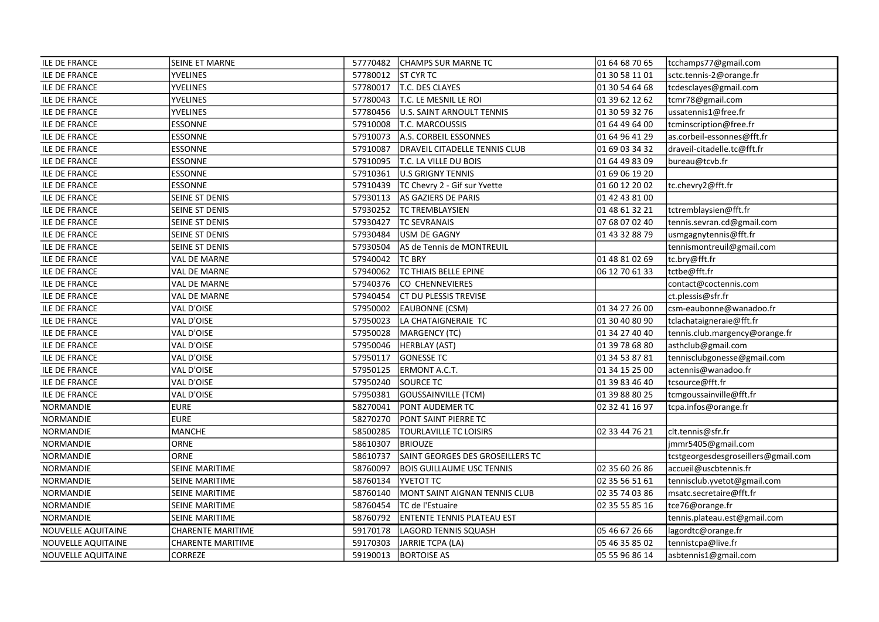| <b>ILE DE FRANCE</b>      | SEINE ET MARNE           |          | 57770482 CHAMPS SUR MARNE TC      | 01 64 68 70 65 | tcchamps77@gmail.com                |
|---------------------------|--------------------------|----------|-----------------------------------|----------------|-------------------------------------|
| <b>ILE DE FRANCE</b>      | <b>YVELINES</b>          | 57780012 | ST CYR TC                         | 01 30 58 11 01 | sctc.tennis-2@orange.fr             |
| <b>ILE DE FRANCE</b>      | <b>YVELINES</b>          | 57780017 | T.C. DES CLAYES                   | 01 30 54 64 68 | tcdesclayes@gmail.com               |
| <b>ILE DE FRANCE</b>      | <b>YVELINES</b>          | 57780043 | T.C. LE MESNIL LE ROI             | 01 39 62 12 62 | tcmr78@gmail.com                    |
| <b>ILE DE FRANCE</b>      | YVELINES                 | 57780456 | U.S. SAINT ARNOULT TENNIS         | 01 30 59 32 76 | ussatennis1@free.fr                 |
| <b>ILE DE FRANCE</b>      | <b>ESSONNE</b>           | 57910008 | T.C. MARCOUSSIS                   | 01 64 49 64 00 | tcminscription@free.fr              |
| <b>ILE DE FRANCE</b>      | <b>ESSONNE</b>           | 57910073 | A.S. CORBEIL ESSONNES             | 01 64 96 41 29 | as.corbeil-essonnes@fft.fr          |
| <b>ILE DE FRANCE</b>      | <b>ESSONNE</b>           | 57910087 | DRAVEIL CITADELLE TENNIS CLUB     | 01 69 03 34 32 | draveil-citadelle.tc@fft.fr         |
| <b>ILE DE FRANCE</b>      | <b>ESSONNE</b>           | 57910095 | T.C. LA VILLE DU BOIS             | 01 64 49 83 09 | bureau@tcvb.fr                      |
| <b>ILE DE FRANCE</b>      | <b>ESSONNE</b>           | 57910361 | U.S GRIGNY TENNIS                 | 01 69 06 19 20 |                                     |
| <b>ILE DE FRANCE</b>      | <b>ESSONNE</b>           | 57910439 | TC Chevry 2 - Gif sur Yvette      | 01 60 12 20 02 | tc.chevry2@fft.fr                   |
| <b>ILE DE FRANCE</b>      | <b>SEINE ST DENIS</b>    | 57930113 | AS GAZIERS DE PARIS               | 01 42 43 81 00 |                                     |
| <b>ILE DE FRANCE</b>      | <b>SEINE ST DENIS</b>    | 57930252 | <b>TC TREMBLAYSIEN</b>            | 01 48 61 32 21 | tctremblaysien@fft.fr               |
| <b>ILE DE FRANCE</b>      | SEINE ST DENIS           | 57930427 | <b>TC SEVRANAIS</b>               | 07 68 07 02 40 | tennis.sevran.cd@gmail.com          |
| <b>ILE DE FRANCE</b>      | SEINE ST DENIS           | 57930484 | USM DE GAGNY                      | 01 43 32 88 79 | usmgagnytennis@fft.fr               |
| <b>ILE DE FRANCE</b>      | SEINE ST DENIS           | 57930504 | AS de Tennis de MONTREUIL         |                | tennismontreuil@gmail.com           |
| <b>ILE DE FRANCE</b>      | <b>VAL DE MARNE</b>      | 57940042 | <b>TC BRY</b>                     | 01 48 81 02 69 | tc.bry@fft.fr                       |
| <b>ILE DE FRANCE</b>      | <b>VAL DE MARNE</b>      | 57940062 | <b>TC THIAIS BELLE EPINE</b>      | 06 12 70 61 33 | tctbe@fft.fr                        |
| <b>ILE DE FRANCE</b>      | VAL DE MARNE             | 57940376 | CO CHENNEVIERES                   |                | contact@coctennis.com               |
| <b>ILE DE FRANCE</b>      | VAL DE MARNE             | 57940454 | <b>CT DU PLESSIS TREVISE</b>      |                | ct.plessis@sfr.fr                   |
| <b>ILE DE FRANCE</b>      | VAL D'OISE               | 57950002 | EAUBONNE (CSM)                    | 01 34 27 26 00 | csm-eaubonne@wanadoo.fr             |
| <b>ILE DE FRANCE</b>      | VAL D'OISE               | 57950023 | LA CHATAIGNERAIE TC               | 01 30 40 80 90 | tclachataigneraie@fft.fr            |
| <b>ILE DE FRANCE</b>      | VAL D'OISE               | 57950028 | MARGENCY (TC)                     | 01 34 27 40 40 | tennis.club.margency@orange.fr      |
| <b>ILE DE FRANCE</b>      | VAL D'OISE               | 57950046 | HERBLAY (AST)                     | 01 39 78 68 80 | asthclub@gmail.com                  |
| <b>ILE DE FRANCE</b>      | VAL D'OISE               | 57950117 | <b>GONESSE TC</b>                 | 01 34 53 87 81 | tennisclubgonesse@gmail.com         |
| <b>ILE DE FRANCE</b>      | VAL D'OISE               | 57950125 | ERMONT A.C.T.                     | 01 34 15 25 00 | actennis@wanadoo.fr                 |
| <b>ILE DE FRANCE</b>      | VAL D'OISE               | 57950240 | SOURCE TC                         | 01 39 83 46 40 | tcsource@fft.fr                     |
| <b>ILE DE FRANCE</b>      | VAL D'OISE               | 57950381 | GOUSSAINVILLE (TCM)               | 01 39 88 80 25 | tcmgoussainville@fft.fr             |
| NORMANDIE                 | EURE                     | 58270041 | <b>PONT AUDEMER TC</b>            | 02 32 41 16 97 | tcpa.infos@orange.fr                |
| NORMANDIE                 | <b>EURE</b>              | 58270270 | PONT SAINT PIERRE TC              |                |                                     |
| NORMANDIE                 | MANCHE                   | 58500285 | <b>TOURLAVILLE TC LOISIRS</b>     | 02 33 44 76 21 | clt.tennis@sfr.fr                   |
| NORMANDIE                 | ORNE                     | 58610307 | <b>BRIOUZE</b>                    |                | jmmr5405@gmail.com                  |
| NORMANDIE                 | ORNE                     | 58610737 | SAINT GEORGES DES GROSEILLERS TC  |                | tcstgeorgesdesgroseillers@gmail.com |
| NORMANDIE                 | SEINE MARITIME           | 58760097 | <b>BOIS GUILLAUME USC TENNIS</b>  | 02 35 60 26 86 | accueil@uscbtennis.fr               |
| NORMANDIE                 | SEINE MARITIME           | 58760134 | <b>YVETOT TC</b>                  | 02 35 56 51 61 | tennisclub.yvetot@gmail.com         |
| NORMANDIE                 | SEINE MARITIME           | 58760140 | MONT SAINT AIGNAN TENNIS CLUB     | 02 35 74 03 86 | msatc.secretaire@fft.fr             |
| NORMANDIE                 | SEINE MARITIME           | 58760454 | TC de l'Estuaire                  | 02 35 55 85 16 | tce76@orange.fr                     |
| NORMANDIE                 | SEINE MARITIME           | 58760792 | <b>ENTENTE TENNIS PLATEAU EST</b> |                | tennis.plateau.est@gmail.com        |
| NOUVELLE AQUITAINE        | <b>CHARENTE MARITIME</b> | 59170178 | LAGORD TENNIS SQUASH              | 05 46 67 26 66 | lagordtc@orange.fr                  |
| NOUVELLE AQUITAINE        | <b>CHARENTE MARITIME</b> | 59170303 | JARRIE TCPA (LA)                  | 05 46 35 85 02 | tennistcpa@live.fr                  |
| <b>NOUVELLE AQUITAINE</b> | <b>CORREZE</b>           | 59190013 | <b>BORTOISE AS</b>                | 05 55 96 86 14 | asbtennis1@gmail.com                |